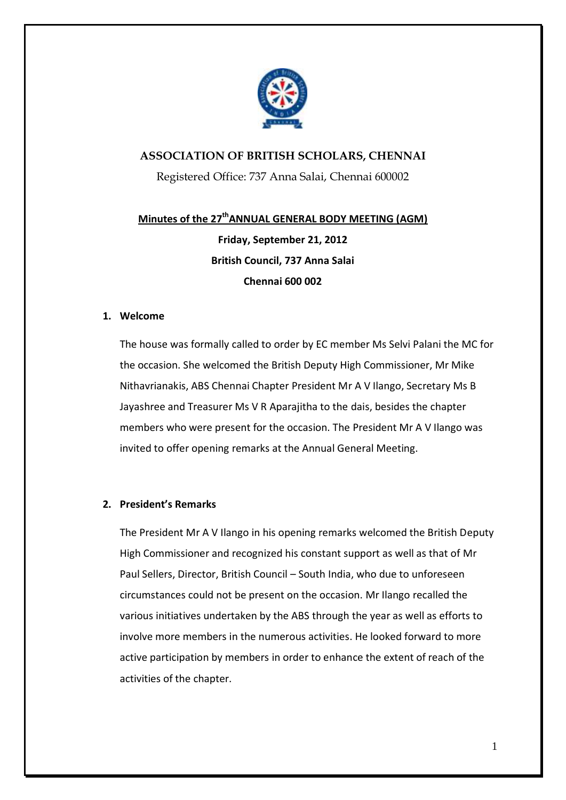

# **ASSOCIATION OF BRITISH SCHOLARS, CHENNAI**

Registered Office: 737 Anna Salai, Chennai 600002

# **Minutes of the 27thANNUAL GENERAL BODY MEETING (AGM) Friday, September 21, 2012 British Council, 737 Anna Salai Chennai 600 002**

# **1. Welcome**

The house was formally called to order by EC member Ms Selvi Palani the MC for the occasion. She welcomed the British Deputy High Commissioner, Mr Mike Nithavrianakis, ABS Chennai Chapter President Mr A V Ilango, Secretary Ms B Jayashree and Treasurer Ms V R Aparajitha to the dais, besides the chapter members who were present for the occasion. The President Mr A V Ilango was invited to offer opening remarks at the Annual General Meeting.

# **2. President's Remarks**

The President Mr A V Ilango in his opening remarks welcomed the British Deputy High Commissioner and recognized his constant support as well as that of Mr Paul Sellers, Director, British Council – South India, who due to unforeseen circumstances could not be present on the occasion. Mr Ilango recalled the various initiatives undertaken by the ABS through the year as well as efforts to involve more members in the numerous activities. He looked forward to more active participation by members in order to enhance the extent of reach of the activities of the chapter.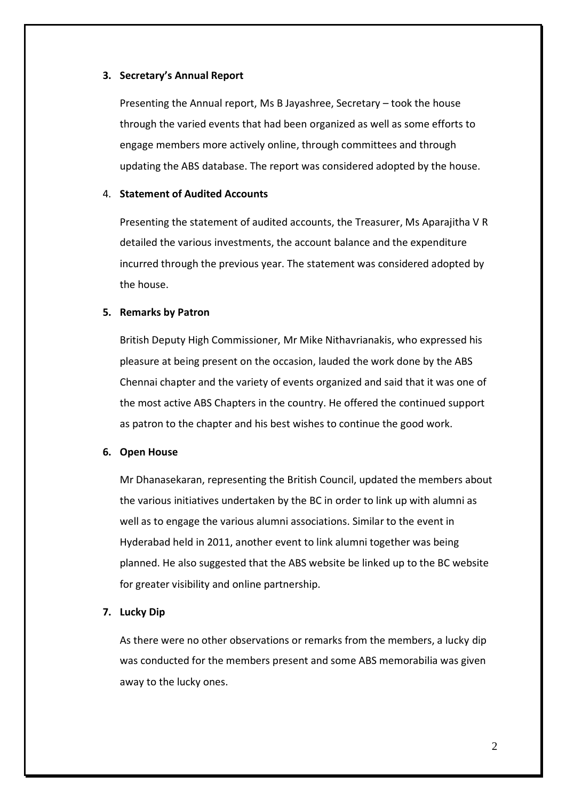### **3. Secretary's Annual Report**

Presenting the Annual report, Ms B Jayashree, Secretary – took the house through the varied events that had been organized as well as some efforts to engage members more actively online, through committees and through updating the ABS database. The report was considered adopted by the house.

# 4. **Statement of Audited Accounts**

Presenting the statement of audited accounts, the Treasurer, Ms Aparajitha V R detailed the various investments, the account balance and the expenditure incurred through the previous year. The statement was considered adopted by the house.

### **5. Remarks by Patron**

British Deputy High Commissioner, Mr Mike Nithavrianakis, who expressed his pleasure at being present on the occasion, lauded the work done by the ABS Chennai chapter and the variety of events organized and said that it was one of the most active ABS Chapters in the country. He offered the continued support as patron to the chapter and his best wishes to continue the good work.

### **6. Open House**

Mr Dhanasekaran, representing the British Council, updated the members about the various initiatives undertaken by the BC in order to link up with alumni as well as to engage the various alumni associations. Similar to the event in Hyderabad held in 2011, another event to link alumni together was being planned. He also suggested that the ABS website be linked up to the BC website for greater visibility and online partnership.

#### **7. Lucky Dip**

As there were no other observations or remarks from the members, a lucky dip was conducted for the members present and some ABS memorabilia was given away to the lucky ones.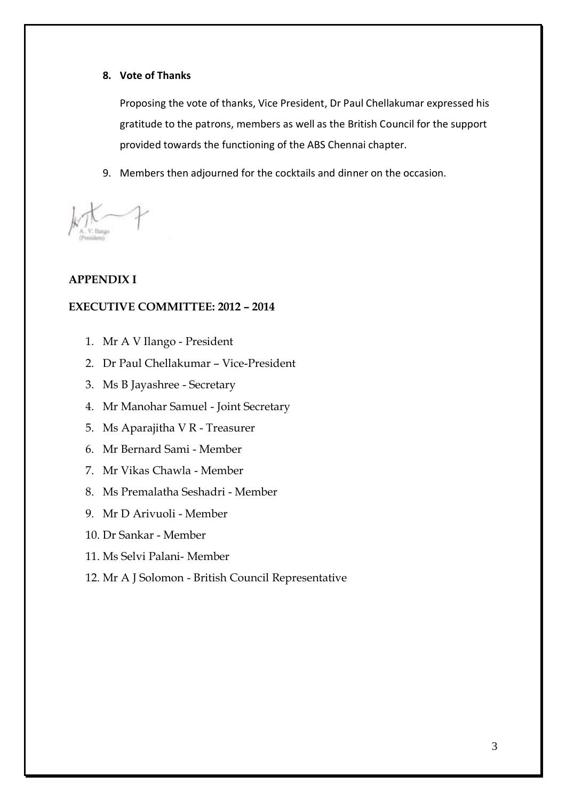# **8. Vote of Thanks**

Proposing the vote of thanks, Vice President, Dr Paul Chellakumar expressed his gratitude to the patrons, members as well as the British Council for the support provided towards the functioning of the ABS Chennai chapter.

9. Members then adjourned for the cocktails and dinner on the occasion.

# **APPENDIX I**

# **EXECUTIVE COMMITTEE: 2012 – 2014**

- 1. Mr A V Ilango President
- 2. Dr Paul Chellakumar Vice-President
- 3. Ms B Jayashree Secretary
- 4. Mr Manohar Samuel Joint Secretary
- 5. Ms Aparajitha V R Treasurer
- 6. Mr Bernard Sami Member
- 7. Mr Vikas Chawla Member
- 8. Ms Premalatha Seshadri Member
- 9. Mr D Arivuoli Member
- 10. Dr Sankar Member
- 11. Ms Selvi Palani- Member
- 12. Mr A J Solomon British Council Representative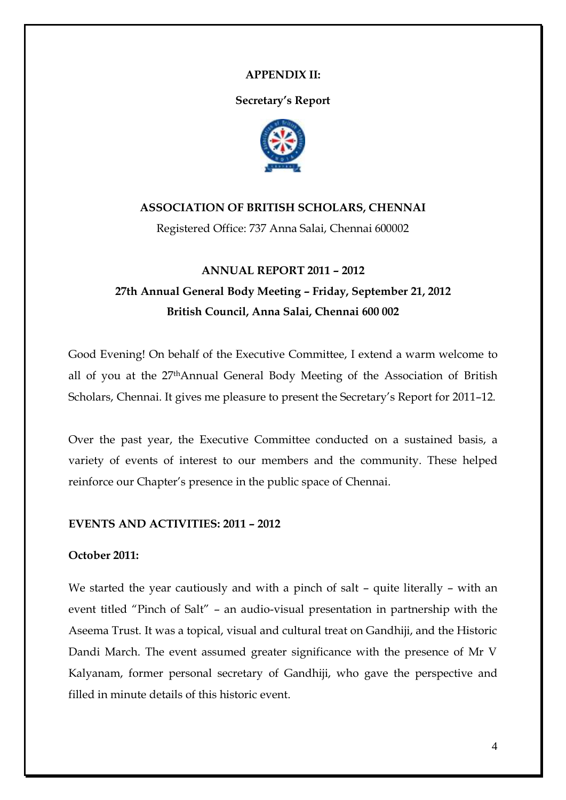# **APPENDIX II:**

**Secretary's Report**



# **ASSOCIATION OF BRITISH SCHOLARS, CHENNAI**

Registered Office: 737 Anna Salai, Chennai 600002

# **ANNUAL REPORT 2011 – 2012 27th Annual General Body Meeting – Friday, September 21, 2012 British Council, Anna Salai, Chennai 600 002**

Good Evening! On behalf of the Executive Committee, I extend a warm welcome to all of you at the 27thAnnual General Body Meeting of the Association of British Scholars, Chennai. It gives me pleasure to present the Secretary's Report for 2011-12.

Over the past year, the Executive Committee conducted on a sustained basis, a variety of events of interest to our members and the community. These helped reinforce our Chapter"s presence in the public space of Chennai.

# **EVENTS AND ACTIVITIES: 2011 – 2012**

# **October 2011:**

We started the year cautiously and with a pinch of salt – quite literally – with an event titled "Pinch of Salt" – an audio-visual presentation in partnership with the Aseema Trust. It was a topical, visual and cultural treat on Gandhiji, and the Historic Dandi March. The event assumed greater significance with the presence of Mr V Kalyanam, former personal secretary of Gandhiji, who gave the perspective and filled in minute details of this historic event.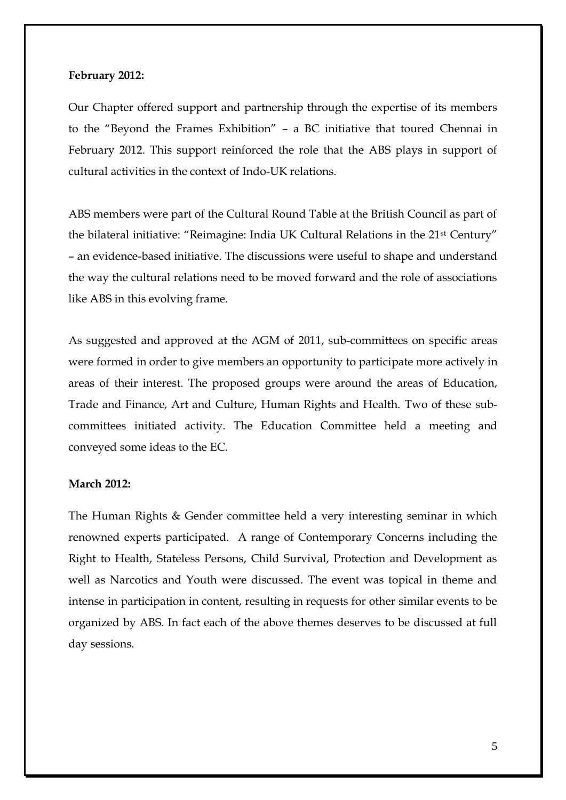# **February 2012:**

Our Chapter offered support and partnership through the expertise of its members to the "Beyond the Frames Exhibition" – a BC initiative that toured Chennai in February 2012. This support reinforced the role that the ABS plays in support of cultural activities in the context of Indo-UK relations.

ABS members were part of the Cultural Round Table at the British Council as part of the bilateral initiative: "Reimagine: India UK Cultural Relations in the 21st Century" – an evidence-based initiative. The discussions were useful to shape and understand the way the cultural relations need to be moved forward and the role of associations like ABS in this evolving frame.

As suggested and approved at the AGM of 2011, sub-committees on specific areas were formed in order to give members an opportunity to participate more actively in areas of their interest. The proposed groups were around the areas of Education, Trade and Finance, Art and Culture, Human Rights and Health. Two of these subcommittees initiated activity. The Education Committee held a meeting and conveyed some ideas to the EC.

# **March 2012:**

The Human Rights & Gender committee held a very interesting seminar in which renowned experts participated. A range of Contemporary Concerns including the Right to Health, Stateless Persons, Child Survival, Protection and Development as well as Narcotics and Youth were discussed. The event was topical in theme and intense in participation in content, resulting in requests for other similar events to be organized by ABS. In fact each of the above themes deserves to be discussed at full day sessions.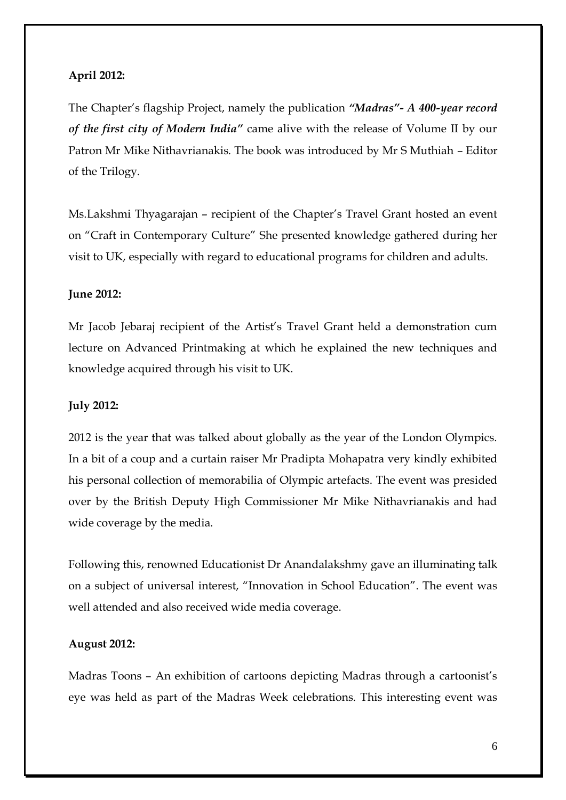# **April 2012:**

The Chapter"s flagship Project, namely the publication *"Madras"- A 400-year record of the first city of Modern India"* came alive with the release of Volume II by our Patron Mr Mike Nithavrianakis. The book was introduced by Mr S Muthiah – Editor of the Trilogy.

Ms.Lakshmi Thyagarajan – recipient of the Chapter"s Travel Grant hosted an event on "Craft in Contemporary Culture" She presented knowledge gathered during her visit to UK, especially with regard to educational programs for children and adults.

### **June 2012:**

Mr Jacob Jebaraj recipient of the Artist"s Travel Grant held a demonstration cum lecture on Advanced Printmaking at which he explained the new techniques and knowledge acquired through his visit to UK.

### **July 2012:**

2012 is the year that was talked about globally as the year of the London Olympics. In a bit of a coup and a curtain raiser Mr Pradipta Mohapatra very kindly exhibited his personal collection of memorabilia of Olympic artefacts. The event was presided over by the British Deputy High Commissioner Mr Mike Nithavrianakis and had wide coverage by the media.

Following this, renowned Educationist Dr Anandalakshmy gave an illuminating talk on a subject of universal interest, "Innovation in School Education". The event was well attended and also received wide media coverage.

# **August 2012:**

Madras Toons - An exhibition of cartoons depicting Madras through a cartoonist's eye was held as part of the Madras Week celebrations. This interesting event was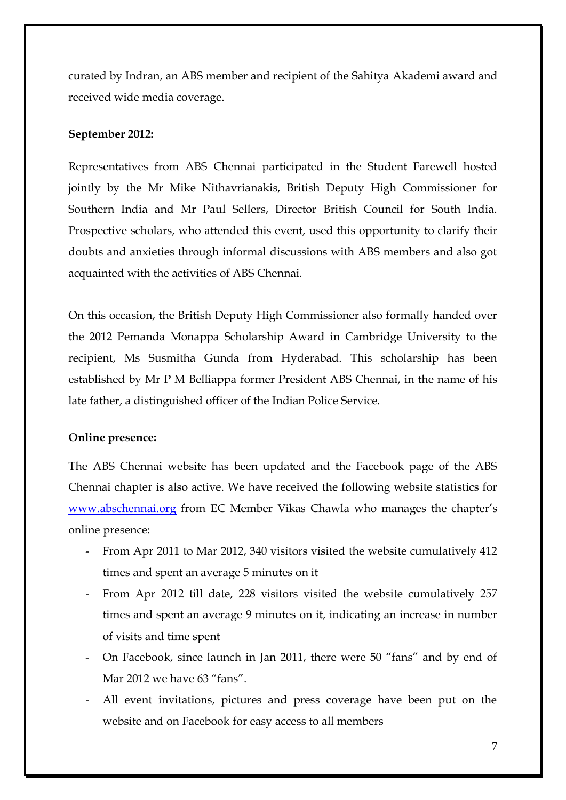curated by Indran, an ABS member and recipient of the Sahitya Akademi award and received wide media coverage.

# **September 2012:**

Representatives from ABS Chennai participated in the Student Farewell hosted jointly by the Mr Mike Nithavrianakis, British Deputy High Commissioner for Southern India and Mr Paul Sellers, Director British Council for South India. Prospective scholars, who attended this event, used this opportunity to clarify their doubts and anxieties through informal discussions with ABS members and also got acquainted with the activities of ABS Chennai.

On this occasion, the British Deputy High Commissioner also formally handed over the 2012 Pemanda Monappa Scholarship Award in Cambridge University to the recipient, Ms Susmitha Gunda from Hyderabad. This scholarship has been established by Mr P M Belliappa former President ABS Chennai, in the name of his late father, a distinguished officer of the Indian Police Service.

#### **Online presence:**

The ABS Chennai website has been updated and the Facebook page of the ABS Chennai chapter is also active. We have received the following website statistics for [www.abschennai.org](http://www.abschennai.org/) from EC Member Vikas Chawla who manages the chapter's online presence:

- From Apr 2011 to Mar 2012, 340 visitors visited the website cumulatively 412 times and spent an average 5 minutes on it
- From Apr 2012 till date, 228 visitors visited the website cumulatively 257 times and spent an average 9 minutes on it, indicating an increase in number of visits and time spent
- On Facebook, since launch in Jan 2011, there were 50 "fans" and by end of Mar 2012 we have 63 "fans".
- All event invitations, pictures and press coverage have been put on the website and on Facebook for easy access to all members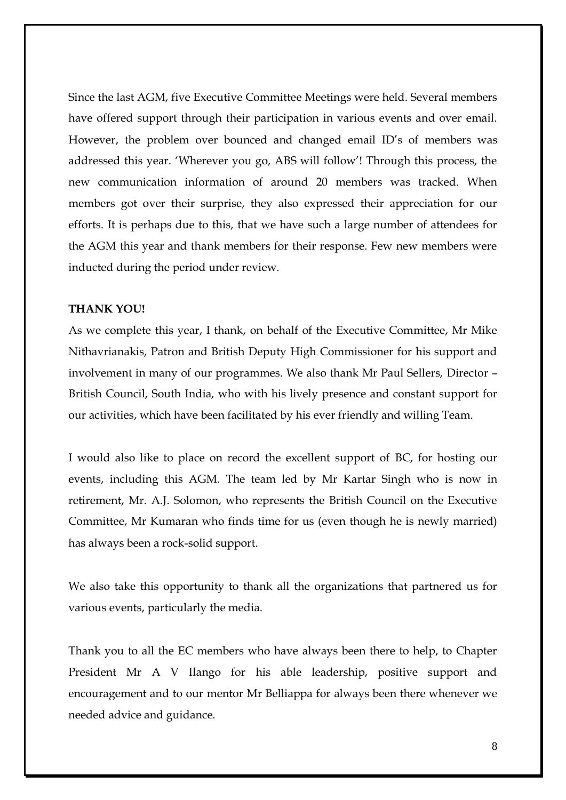Since the last AGM, five Executive Committee Meetings were held. Several members have offered support through their participation in various events and over email. However, the problem over bounced and changed email ID's of members was addressed this year. "Wherever you go, ABS will follow"! Through this process, the new communication information of around 20 members was tracked. When members got over their surprise, they also expressed their appreciation for our efforts. It is perhaps due to this, that we have such a large number of attendees for the AGM this year and thank members for their response. Few new members were inducted during the period under review.

# **THANK YOU!**

As we complete this year, I thank, on behalf of the Executive Committee, Mr Mike Nithavrianakis, Patron and British Deputy High Commissioner for his support and involvement in many of our programmes. We also thank Mr Paul Sellers, Director – British Council, South India, who with his lively presence and constant support for our activities, which have been facilitated by his ever friendly and willing Team.

I would also like to place on record the excellent support of BC, for hosting our events, including this AGM. The team led by Mr Kartar Singh who is now in retirement, Mr. A.J. Solomon, who represents the British Council on the Executive Committee, Mr Kumaran who finds time for us (even though he is newly married) has always been a rock-solid support.

We also take this opportunity to thank all the organizations that partnered us for various events, particularly the media.

Thank you to all the EC members who have always been there to help, to Chapter President Mr A V Ilango for his able leadership, positive support and encouragement and to our mentor Mr Belliappa for always been there whenever we needed advice and guidance.